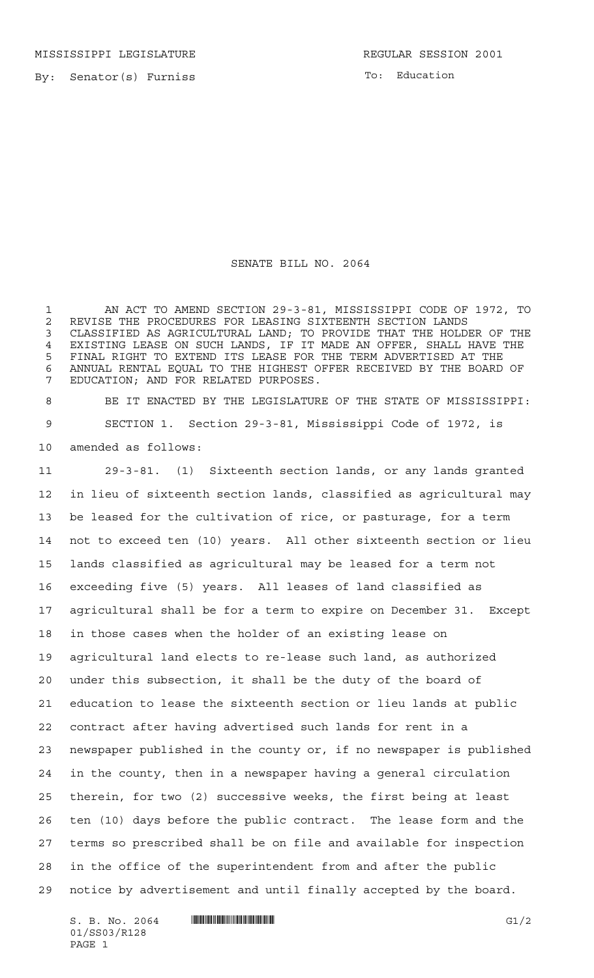MISSISSIPPI LEGISLATURE **REGULAR SESSION 2001** 

By: Senator(s) Furniss

To: Education

## SENATE BILL NO. 2064

 AN ACT TO AMEND SECTION 29-3-81, MISSISSIPPI CODE OF 1972, TO 2 REVISE THE PROCEDURES FOR LEASING SIXTEENTH SECTION LANDS<br>3 CLASSIFIED AS AGRICULTURAL LAND: TO PROVIDE THAT THE HOLD CLASSIFIED AS AGRICULTURAL LAND; TO PROVIDE THAT THE HOLDER OF THE EXISTING LEASE ON SUCH LANDS, IF IT MADE AN OFFER, SHALL HAVE THE FINAL RIGHT TO EXTEND ITS LEASE FOR THE TERM ADVERTISED AT THE ANNUAL RENTAL EQUAL TO THE HIGHEST OFFER RECEIVED BY THE BOARD OF EDUCATION; AND FOR RELATED PURPOSES.

 BE IT ENACTED BY THE LEGISLATURE OF THE STATE OF MISSISSIPPI: SECTION 1. Section 29-3-81, Mississippi Code of 1972, is amended as follows:

 29-3-81. (1) Sixteenth section lands, or any lands granted in lieu of sixteenth section lands, classified as agricultural may be leased for the cultivation of rice, or pasturage, for a term not to exceed ten (10) years. All other sixteenth section or lieu lands classified as agricultural may be leased for a term not exceeding five (5) years. All leases of land classified as agricultural shall be for a term to expire on December 31. Except in those cases when the holder of an existing lease on agricultural land elects to re-lease such land, as authorized under this subsection, it shall be the duty of the board of education to lease the sixteenth section or lieu lands at public contract after having advertised such lands for rent in a newspaper published in the county or, if no newspaper is published in the county, then in a newspaper having a general circulation therein, for two (2) successive weeks, the first being at least ten (10) days before the public contract. The lease form and the terms so prescribed shall be on file and available for inspection in the office of the superintendent from and after the public notice by advertisement and until finally accepted by the board.

 $S. B. No. 2064$  .  $\blacksquare$   $\blacksquare$   $\blacksquare$   $\blacksquare$   $\blacksquare$   $\blacksquare$   $\blacksquare$   $\blacksquare$   $\blacksquare$   $\blacksquare$   $\blacksquare$   $\blacksquare$   $\blacksquare$   $\blacksquare$   $\blacksquare$   $\blacksquare$   $\blacksquare$   $\blacksquare$   $\blacksquare$   $\blacksquare$   $\blacksquare$   $\blacksquare$   $\blacksquare$   $\blacksquare$   $\blacksquare$   $\blacksquare$   $\blacksquare$   $\blacksquare$   $\blacksquare$   $\$ 01/SS03/R128 PAGE 1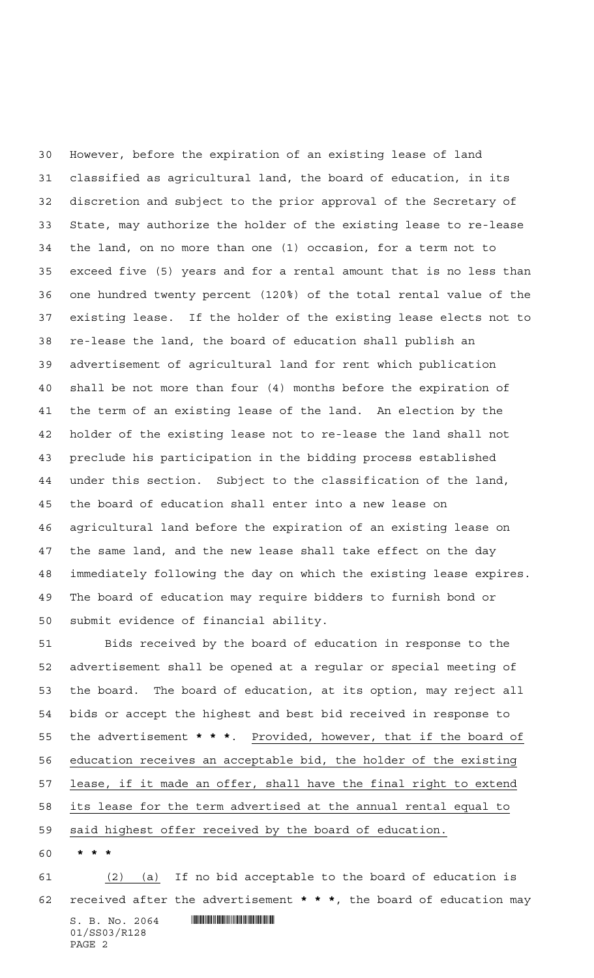However, before the expiration of an existing lease of land classified as agricultural land, the board of education, in its discretion and subject to the prior approval of the Secretary of State, may authorize the holder of the existing lease to re-lease the land, on no more than one (1) occasion, for a term not to exceed five (5) years and for a rental amount that is no less than one hundred twenty percent (120%) of the total rental value of the existing lease. If the holder of the existing lease elects not to re-lease the land, the board of education shall publish an advertisement of agricultural land for rent which publication shall be not more than four (4) months before the expiration of the term of an existing lease of the land. An election by the holder of the existing lease not to re-lease the land shall not preclude his participation in the bidding process established under this section. Subject to the classification of the land, the board of education shall enter into a new lease on agricultural land before the expiration of an existing lease on the same land, and the new lease shall take effect on the day immediately following the day on which the existing lease expires. The board of education may require bidders to furnish bond or submit evidence of financial ability.

 Bids received by the board of education in response to the advertisement shall be opened at a regular or special meeting of the board. The board of education, at its option, may reject all bids or accept the highest and best bid received in response to the advertisement **\*\*\***. Provided, however, that if the board of education receives an acceptable bid, the holder of the existing lease, if it made an offer, shall have the final right to extend its lease for the term advertised at the annual rental equal to said highest offer received by the board of education.

**\*\*\***

 $S. B. No. 2064$  .  $\blacksquare$  (2) (a) If no bid acceptable to the board of education is received after the advertisement **\*\*\***, the board of education may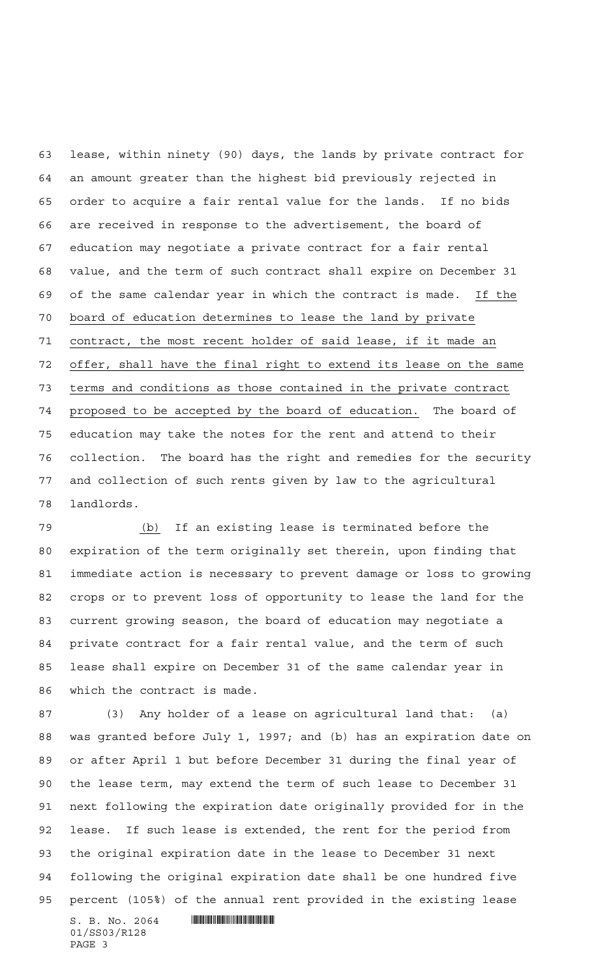lease, within ninety (90) days, the lands by private contract for an amount greater than the highest bid previously rejected in order to acquire a fair rental value for the lands. If no bids are received in response to the advertisement, the board of education may negotiate a private contract for a fair rental value, and the term of such contract shall expire on December 31 of the same calendar year in which the contract is made. If the board of education determines to lease the land by private contract, the most recent holder of said lease, if it made an offer, shall have the final right to extend its lease on the same terms and conditions as those contained in the private contract proposed to be accepted by the board of education. The board of education may take the notes for the rent and attend to their collection. The board has the right and remedies for the security and collection of such rents given by law to the agricultural landlords.

 (b) If an existing lease is terminated before the expiration of the term originally set therein, upon finding that immediate action is necessary to prevent damage or loss to growing crops or to prevent loss of opportunity to lease the land for the current growing season, the board of education may negotiate a private contract for a fair rental value, and the term of such lease shall expire on December 31 of the same calendar year in which the contract is made.

 $S. B. No. 2064$  . We say the set of  $S. B. N_{O.} 2064$  (3) Any holder of a lease on agricultural land that: (a) was granted before July 1, 1997; and (b) has an expiration date on or after April 1 but before December 31 during the final year of the lease term, may extend the term of such lease to December 31 next following the expiration date originally provided for in the lease. If such lease is extended, the rent for the period from the original expiration date in the lease to December 31 next following the original expiration date shall be one hundred five percent (105%) of the annual rent provided in the existing lease

01/SS03/R128 PAGE 3